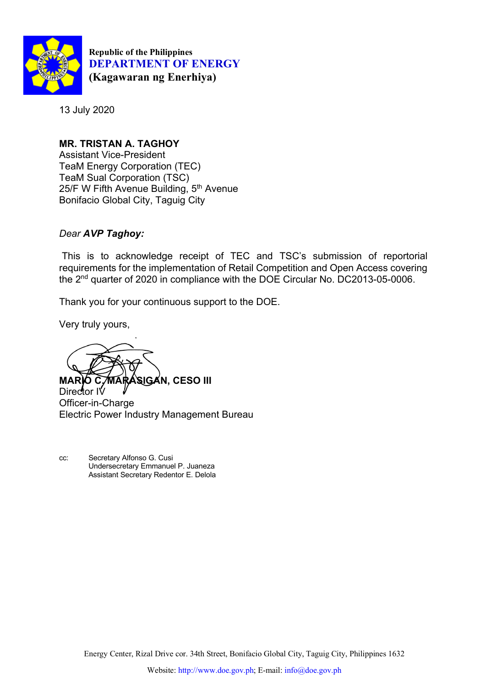

**Republic of the Philippines DEPARTMENT OF ENERGY (Kagawaran ng Enerhiya)**

13 July 2020

**MR. TRISTAN A. TAGHOY** Assistant Vice-President TeaM Energy Corporation (TEC) TeaM Sual Corporation (TSC) 25/F W Fifth Avenue Building, 5<sup>th</sup> Avenue Bonifacio Global City, Taguig City

# *Dear AVP Taghoy:*

This is to acknowledge receipt of TEC and TSC's submission of reportorial requirements for the implementation of Retail Competition and Open Access covering the 2nd quarter of 2020 in compliance with the DOE Circular No. DC2013-05-0006.

Thank you for your continuous support to the DOE.

Very truly yours,

**MARIO C. MARASIGAN, CESO III**

Director IV Officer-in-Charge Electric Power Industry Management Bureau

cc: Secretary Alfonso G. Cusi Undersecretary Emmanuel P. Juaneza Assistant Secretary Redentor E. Delola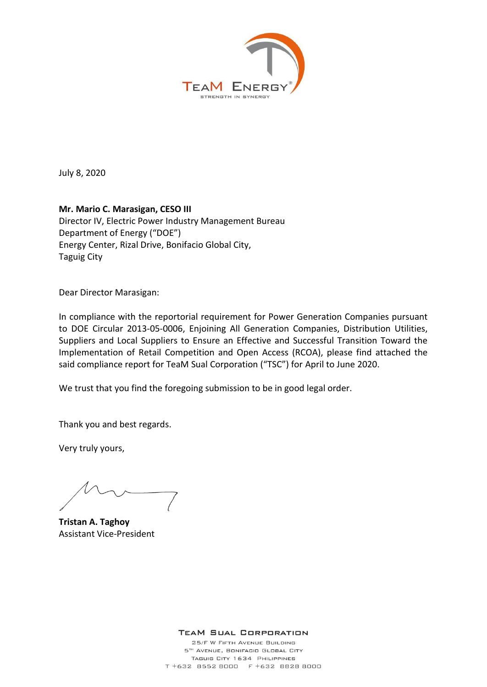

July 8, 2020

## **Mr. Mario C. Marasigan, CESO III**  Director IV, Electric Power Industry Management Bureau Department of Energy ("DOE") Energy Center, Rizal Drive, Bonifacio Global City, Taguig City

Dear Director Marasigan:

In compliance with the reportorial requirement for Power Generation Companies pursuant to DOE Circular 2013-05-0006, Enjoining All Generation Companies, Distribution Utilities, Suppliers and Local Suppliers to Ensure an Effective and Successful Transition Toward the Implementation of Retail Competition and Open Access (RCOA), please find attached the said compliance report for TeaM Sual Corporation ("TSC") for April to June 2020.

We trust that you find the foregoing submission to be in good legal order.

Thank you and best regards.

Very truly yours,

**Tristan A. Taghoy**  Assistant Vice-President

**TEAM SUAL CORPORATION** 

25/F W FIFTH AVENUE BUILDING 5TH AVENUE, BONIFACIO GLOBAL CITY TAGUIG CITY 1634 PHILIPPINES T +632 8552 8000 F +632 8828 8000